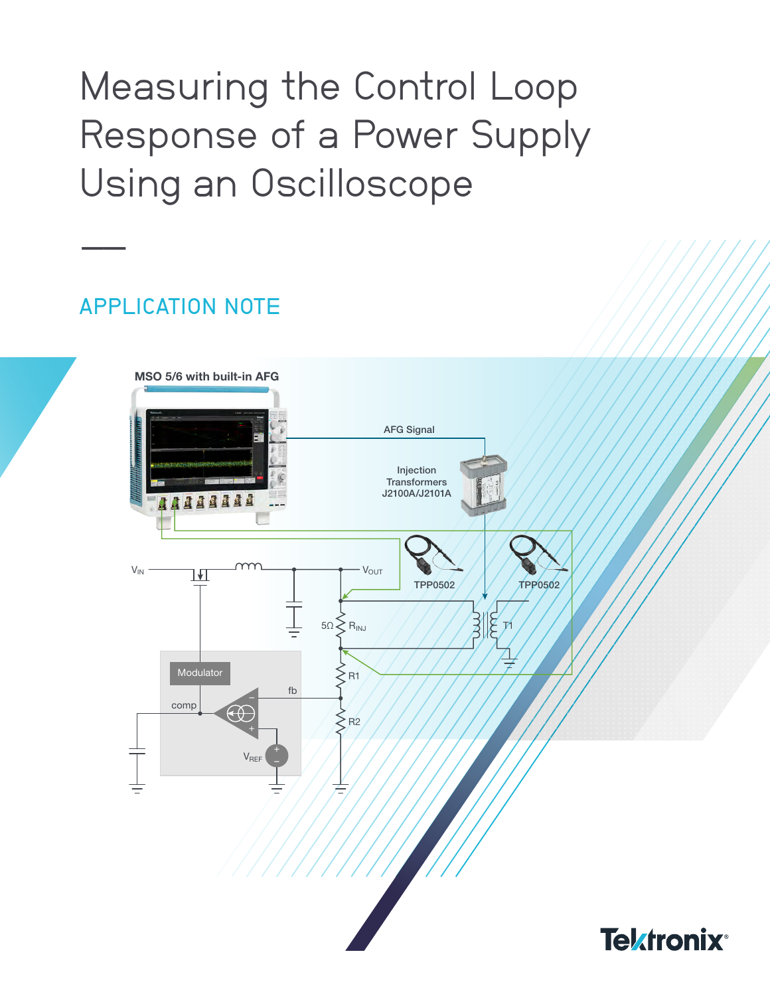# Measuring the Control Loop Response of a Power Supply Using an Oscilloscope

## APPLICATION NOTE

––

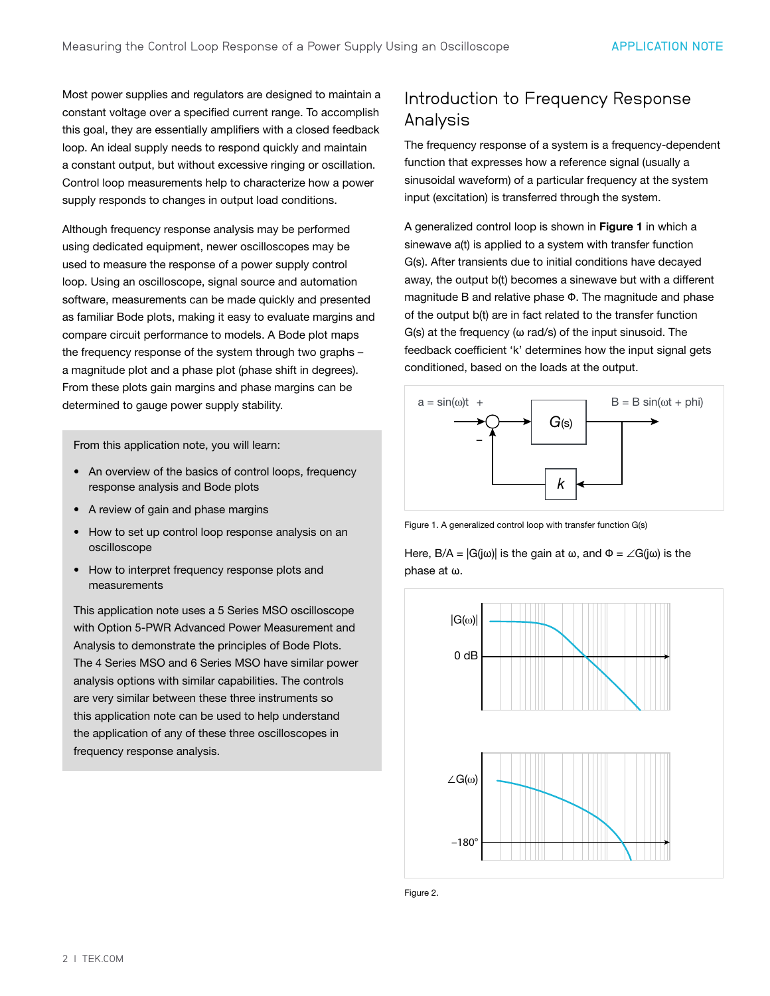Most power supplies and regulators are designed to maintain a constant voltage over a specified current range. To accomplish this goal, they are essentially amplifiers with a closed feedback loop. An ideal supply needs to respond quickly and maintain a constant output, but without excessive ringing or oscillation. Control loop measurements help to characterize how a power supply responds to changes in output load conditions.

Although frequency response analysis may be performed using dedicated equipment, newer oscilloscopes may be used to measure the response of a power supply control loop. Using an oscilloscope, signal source and automation software, measurements can be made quickly and presented as familiar Bode plots, making it easy to evaluate margins and compare circuit performance to models. A Bode plot maps the frequency response of the system through two graphs – a magnitude plot and a phase plot (phase shift in degrees). From these plots gain margins and phase margins can be determined to gauge power supply stability.

From this application note, you will learn:

- An overview of the basics of control loops, frequency response analysis and Bode plots
- A review of gain and phase margins
- How to set up control loop response analysis on an oscilloscope
- How to interpret frequency response plots and measurements

This application note uses a 5 Series MSO oscilloscope with Option 5-PWR Advanced Power Measurement and Analysis to demonstrate the principles of Bode Plots. The 4 Series MSO and 6 Series MSO have similar power analysis options with similar capabilities. The controls are very similar between these three instruments so this application note can be used to help understand the application of any of these three oscilloscopes in frequency response analysis.

## Introduction to Frequency Response Analysis

The frequency response of a system is a frequency-dependent function that expresses how a reference signal (usually a sinusoidal waveform) of a particular frequency at the system input (excitation) is transferred through the system.

A generalized control loop is shown in Figure 1 in which a sinewave a(t) is applied to a system with transfer function G(s). After transients due to initial conditions have decayed away, the output b(t) becomes a sinewave but with a different magnitude B and relative phase Φ. The magnitude and phase of the output b(t) are in fact related to the transfer function  $G(s)$  at the frequency ( $\omega$  rad/s) of the input sinusoid. The feedback coefficient 'k' determines how the input signal gets conditioned, based on the loads at the output.



Figure 1. A generalized control loop with transfer function G(s)

Here,  $B/A = |G(j\omega)|$  is the gain at  $\omega$ , and  $\Phi = \angle G(j\omega)$  is the phase at ω.



Figure 2.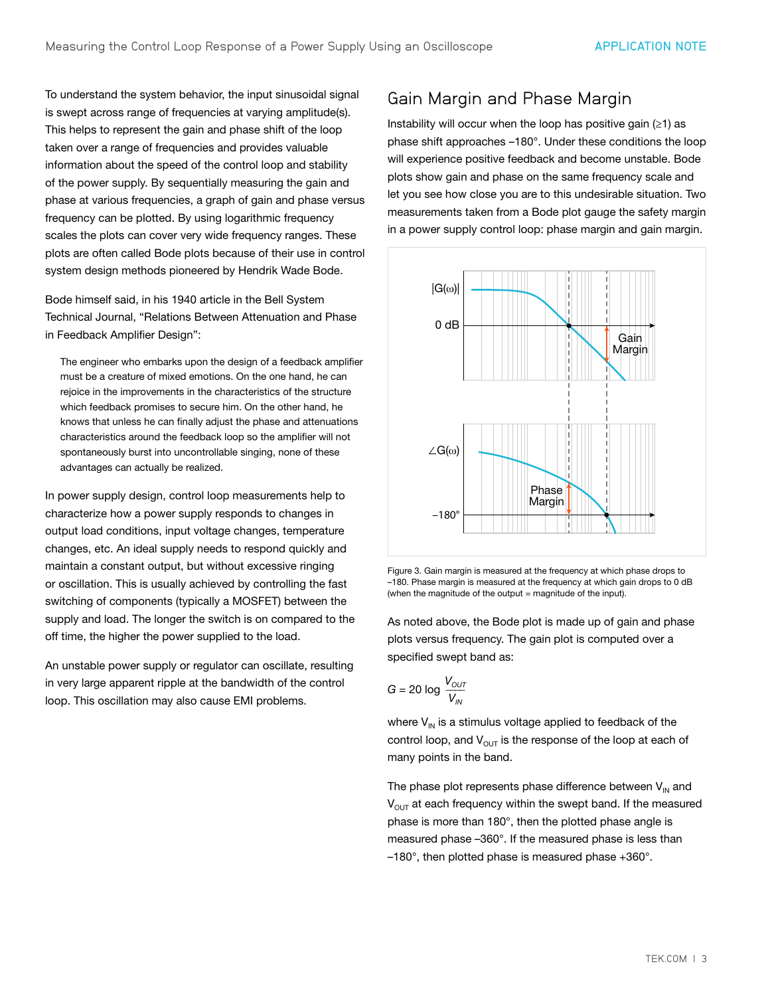To understand the system behavior, the input sinusoidal signal is swept across range of frequencies at varying amplitude(s). This helps to represent the gain and phase shift of the loop taken over a range of frequencies and provides valuable information about the speed of the control loop and stability of the power supply. By sequentially measuring the gain and phase at various frequencies, a graph of gain and phase versus frequency can be plotted. By using logarithmic frequency scales the plots can cover very wide frequency ranges. These plots are often called Bode plots because of their use in control system design methods pioneered by Hendrik Wade Bode.

Bode himself said, in his 1940 article in the Bell System Technical Journal, "Relations Between Attenuation and Phase in Feedback Amplifier Design":

The engineer who embarks upon the design of a feedback amplifier must be a creature of mixed emotions. On the one hand, he can rejoice in the improvements in the characteristics of the structure which feedback promises to secure him. On the other hand, he knows that unless he can finally adjust the phase and attenuations characteristics around the feedback loop so the amplifier will not spontaneously burst into uncontrollable singing, none of these advantages can actually be realized.

In power supply design, control loop measurements help to characterize how a power supply responds to changes in output load conditions, input voltage changes, temperature changes, etc. An ideal supply needs to respond quickly and maintain a constant output, but without excessive ringing or oscillation. This is usually achieved by controlling the fast switching of components (typically a MOSFET) between the supply and load. The longer the switch is on compared to the off time, the higher the power supplied to the load.

An unstable power supply or regulator can oscillate, resulting in very large apparent ripple at the bandwidth of the control loop. This oscillation may also cause EMI problems.

## Gain Margin and Phase Margin

Instability will occur when the loop has positive gain (≥1) as phase shift approaches –180°. Under these conditions the loop will experience positive feedback and become unstable. Bode plots show gain and phase on the same frequency scale and let you see how close you are to this undesirable situation. Two measurements taken from a Bode plot gauge the safety margin in a power supply control loop: phase margin and gain margin.



Figure 3. Gain margin is measured at the frequency at which phase drops to –180. Phase margin is measured at the frequency at which gain drops to 0 dB (when the magnitude of the output = magnitude of the input).

As noted above, the Bode plot is made up of gain and phase plots versus frequency. The gain plot is computed over a specified swept band as:

$$
G = 20 \log \frac{V_{\text{OUT}}}{V_{\text{IN}}}
$$

where  $V_{\text{IN}}$  is a stimulus voltage applied to feedback of the control loop, and  $V_{OUT}$  is the response of the loop at each of many points in the band.

The phase plot represents phase difference between  $V_{\text{IN}}$  and  $V_{\text{OUT}}$  at each frequency within the swept band. If the measured phase is more than 180°, then the plotted phase angle is measured phase –360°. If the measured phase is less than –180°, then plotted phase is measured phase +360°.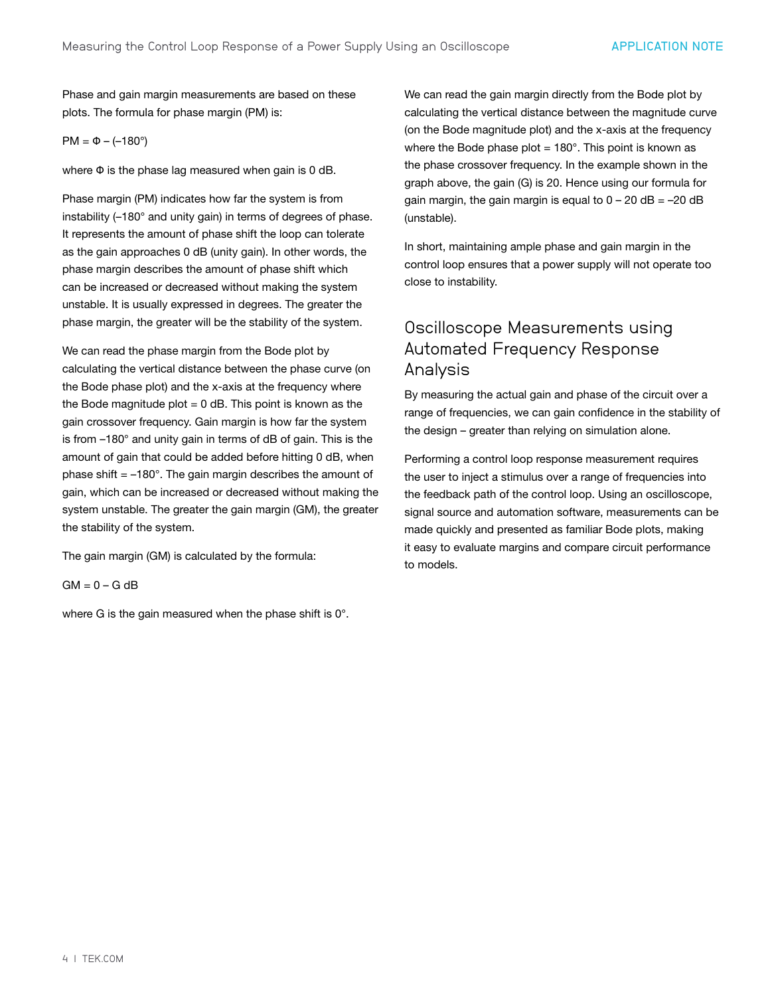Phase and gain margin measurements are based on these plots. The formula for phase margin (PM) is:

#### PM = Φ – (–180°)

where Φ is the phase lag measured when gain is 0 dB.

Phase margin (PM) indicates how far the system is from instability (–180° and unity gain) in terms of degrees of phase. It represents the amount of phase shift the loop can tolerate as the gain approaches 0 dB (unity gain). In other words, the phase margin describes the amount of phase shift which can be increased or decreased without making the system unstable. It is usually expressed in degrees. The greater the phase margin, the greater will be the stability of the system.

We can read the phase margin from the Bode plot by calculating the vertical distance between the phase curve (on the Bode phase plot) and the x-axis at the frequency where the Bode magnitude plot  $= 0$  dB. This point is known as the gain crossover frequency. Gain margin is how far the system is from –180° and unity gain in terms of dB of gain. This is the amount of gain that could be added before hitting 0 dB, when phase shift  $= -180^\circ$ . The gain margin describes the amount of gain, which can be increased or decreased without making the system unstable. The greater the gain margin (GM), the greater the stability of the system.

The gain margin (GM) is calculated by the formula:

 $GM = 0 - G$  dB

where G is the gain measured when the phase shift is 0°.

We can read the gain margin directly from the Bode plot by calculating the vertical distance between the magnitude curve (on the Bode magnitude plot) and the x-axis at the frequency where the Bode phase plot  $= 180^\circ$ . This point is known as the phase crossover frequency. In the example shown in the graph above, the gain (G) is 20. Hence using our formula for gain margin, the gain margin is equal to  $0 - 20$  dB = -20 dB (unstable).

In short, maintaining ample phase and gain margin in the control loop ensures that a power supply will not operate too close to instability.

## Oscilloscope Measurements using Automated Frequency Response Analysis

By measuring the actual gain and phase of the circuit over a range of frequencies, we can gain confidence in the stability of the design – greater than relying on simulation alone.

Performing a control loop response measurement requires the user to inject a stimulus over a range of frequencies into the feedback path of the control loop. Using an oscilloscope, signal source and automation software, measurements can be made quickly and presented as familiar Bode plots, making it easy to evaluate margins and compare circuit performance to models.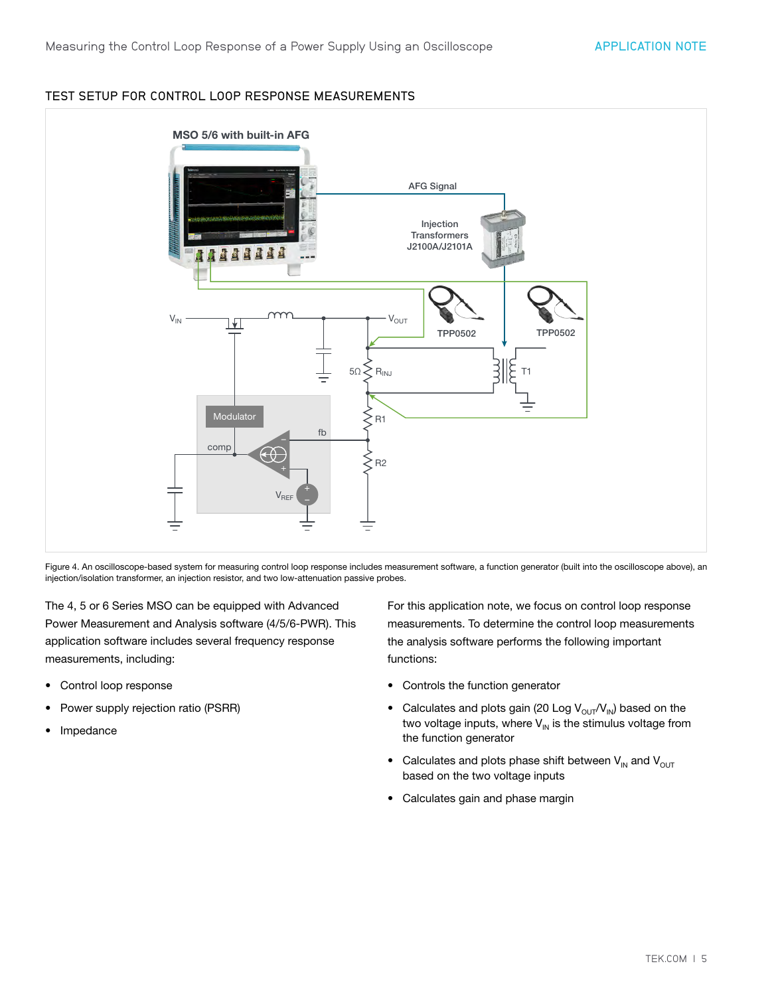#### TEST SETUP FOR CONTROL LOOP RESPONSE MEASUREMENTS



Figure 4. An oscilloscope-based system for measuring control loop response includes measurement software, a function generator (built into the oscilloscope above), an injection/isolation transformer, an injection resistor, and two low-attenuation passive probes.

The 4, 5 or 6 Series MSO can be equipped with Advanced Power Measurement and Analysis software (4/5/6-PWR). This application software includes several frequency response measurements, including:

- Control loop response
- Power supply rejection ratio (PSRR)
- Impedance

For this application note, we focus on control loop response measurements. To determine the control loop measurements the analysis software performs the following important functions:

- Controls the function generator
- Calculates and plots gain (20 Log  $V_{\text{OUT}}/V_{\text{IN}}$ ) based on the two voltage inputs, where  $V_{\text{IN}}$  is the stimulus voltage from the function generator
- Calculates and plots phase shift between  $V_{\text{IN}}$  and  $V_{\text{OUT}}$ based on the two voltage inputs
- Calculates gain and phase margin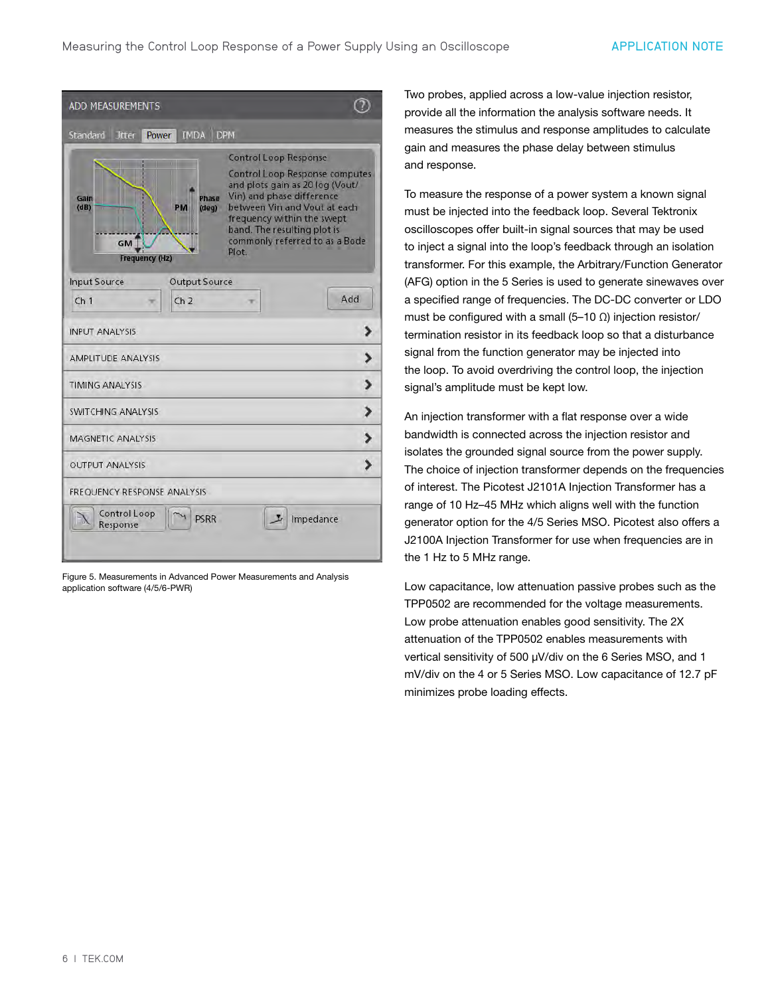| <b>ADD MEASUREMENTS</b>                                                    |                                                                                                                                                                                                                                                                        |  |
|----------------------------------------------------------------------------|------------------------------------------------------------------------------------------------------------------------------------------------------------------------------------------------------------------------------------------------------------------------|--|
| IMDA DPM<br>Standard<br><b>Jitter</b><br>Power                             |                                                                                                                                                                                                                                                                        |  |
| Phase<br>Gain<br>(dB)<br>(deq)<br>PM<br><b>GM</b><br><b>Frequency (Hz)</b> | <b>Control Loop Response</b><br>Control Loop Response computes<br>and plots gain as 20 log (Vout/<br>Vin) and phase difference<br>between Vin and Vout at each<br>frequency within the swept<br>band. The resulting plot is<br>commonly referred to as a Bode<br>Plot. |  |
| <b>Input Source</b><br><b>Output Source</b>                                |                                                                                                                                                                                                                                                                        |  |
| Ch <sub>1</sub><br>ch <sub>2</sub>                                         | Add                                                                                                                                                                                                                                                                    |  |
| <b>INPUT ANALYSIS</b>                                                      | >                                                                                                                                                                                                                                                                      |  |
| <b>AMPLITUDE ANALYSIS</b>                                                  |                                                                                                                                                                                                                                                                        |  |
| <b>TIMING ANALYSIS</b>                                                     | د                                                                                                                                                                                                                                                                      |  |
| <b>SWITCHING ANALYSIS</b>                                                  | >                                                                                                                                                                                                                                                                      |  |
| <b>MAGNETIC ANALYSIS</b>                                                   |                                                                                                                                                                                                                                                                        |  |
| <b>OUTPUT ANALYSIS</b>                                                     | ١.                                                                                                                                                                                                                                                                     |  |
| FREQUENCY RESPONSE ANALYSIS                                                |                                                                                                                                                                                                                                                                        |  |
| Control Loop<br><b>PSRR</b><br>Response                                    | Impedance                                                                                                                                                                                                                                                              |  |

Figure 5. Measurements in Advanced Power Measurements and Analysis application software (4/5/6-PWR)

Two probes, applied across a low-value injection resistor, provide all the information the analysis software needs. It measures the stimulus and response amplitudes to calculate gain and measures the phase delay between stimulus and response.

To measure the response of a power system a known signal must be injected into the feedback loop. Several Tektronix oscilloscopes offer built-in signal sources that may be used to inject a signal into the loop's feedback through an isolation transformer. For this example, the Arbitrary/Function Generator (AFG) option in the 5 Series is used to generate sinewaves over a specified range of frequencies. The DC-DC converter or LDO must be configured with a small (5–10  $\Omega$ ) injection resistor/ termination resistor in its feedback loop so that a disturbance signal from the function generator may be injected into the loop. To avoid overdriving the control loop, the injection signal's amplitude must be kept low.

An injection transformer with a flat response over a wide bandwidth is connected across the injection resistor and isolates the grounded signal source from the power supply. The choice of injection transformer depends on the frequencies of interest. The Picotest J2101A Injection Transformer has a range of 10 Hz–45 MHz which aligns well with the function generator option for the 4/5 Series MSO. Picotest also offers a J2100A Injection Transformer for use when frequencies are in the 1 Hz to 5 MHz range.

Low capacitance, low attenuation passive probes such as the TPP0502 are recommended for the voltage measurements. Low probe attenuation enables good sensitivity. The 2X attenuation of the TPP0502 enables measurements with vertical sensitivity of 500 µV/div on the 6 Series MSO, and 1 mV/div on the 4 or 5 Series MSO. Low capacitance of 12.7 pF minimizes probe loading effects.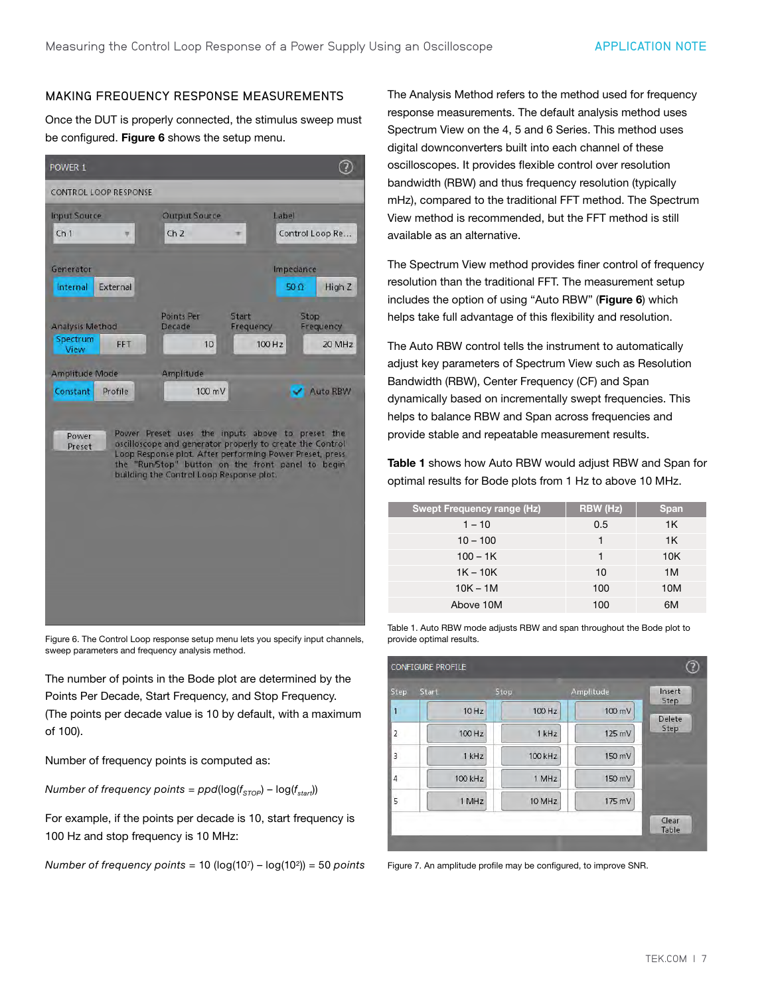#### MAKING FREQUENCY RESPONSE MEASUREMENTS

Once the DUT is properly connected, the stimulus sweep must be configured. Figure 6 shows the setup menu.



Figure 6. The Control Loop response setup menu lets you specify input channels, sweep parameters and frequency analysis method.

The number of points in the Bode plot are determined by the Points Per Decade, Start Frequency, and Stop Frequency. (The points per decade value is 10 by default, with a maximum of 100).

Number of frequency points is computed as:

*Number of frequency points =*  $ppd(log(f_{STOP}) - log(f_{start}))$ 

For example, if the points per decade is 10, start frequency is 100 Hz and stop frequency is 10 MHz:

*Number of frequency points =* 10 (log(107) – log(102)) = 50 *points*

The Analysis Method refers to the method used for frequency response measurements. The default analysis method uses Spectrum View on the 4, 5 and 6 Series. This method uses digital downconverters built into each channel of these oscilloscopes. It provides flexible control over resolution bandwidth (RBW) and thus frequency resolution (typically mHz), compared to the traditional FFT method. The Spectrum View method is recommended, but the FFT method is still available as an alternative.

The Spectrum View method provides finer control of frequency resolution than the traditional FFT. The measurement setup includes the option of using "Auto RBW" (Figure 6) which helps take full advantage of this flexibility and resolution.

The Auto RBW control tells the instrument to automatically adjust key parameters of Spectrum View such as Resolution Bandwidth (RBW), Center Frequency (CF) and Span dynamically based on incrementally swept frequencies. This helps to balance RBW and Span across frequencies and provide stable and repeatable measurement results.

Table 1 shows how Auto RBW would adjust RBW and Span for optimal results for Bode plots from 1 Hz to above 10 MHz.

| <b>Swept Frequency range (Hz)</b> | <b>RBW</b> (Hz) | <b>Span</b> |
|-----------------------------------|-----------------|-------------|
| $1 - 10$                          | 0.5             | 1K          |
| $10 - 100$                        |                 | 1K          |
| $100 - 1K$                        | 1               | 10K         |
| $1K - 10K$                        | 10              | 1M          |
| $10K - 1M$                        | 100             | 10M         |
| Above 10M                         | 100             | 6M          |

Table 1. Auto RBW mode adjusts RBW and span throughout the Bode plot to provide optimal results.



Figure 7. An amplitude profile may be configured, to improve SNR.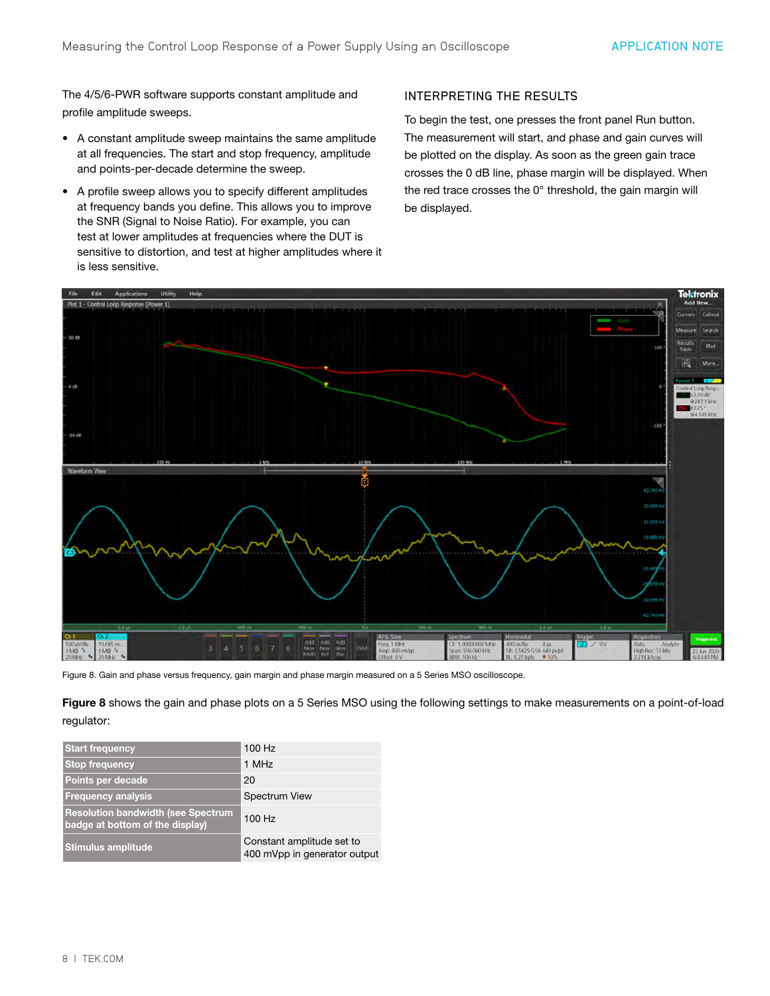The 4/5/6-PWR software supports constant amplitude and profile amplitude sweeps.

- A constant amplitude sweep maintains the same amplitude at all frequencies. The start and stop frequency, amplitude and points-per-decade determine the sweep.
- A profile sweep allows you to specify different amplitudes at frequency bands you define. This allows you to improve the SNR (Signal to Noise Ratio). For example, you can test at lower amplitudes at frequencies where the DUT is sensitive to distortion, and test at higher amplitudes where it is less sensitive.

#### INTERPRETING THE RESULTS

To begin the test, one presses the front panel Run button. The measurement will start, and phase and gain curves will be plotted on the display. As soon as the green gain trace crosses the 0 dB line, phase margin will be displayed. When the red trace crosses the 0° threshold, the gain margin will be displayed.



Figure 8. Gain and phase versus frequency, gain margin and phase margin measured on a 5 Series MSO oscilloscope.

Figure 8 shows the gain and phase plots on a 5 Series MSO using the following settings to make measurements on a point-of-load regulator:

| <b>Start frequency</b>                                                       | 100 Hz                                                    |
|------------------------------------------------------------------------------|-----------------------------------------------------------|
| <b>Stop frequency</b>                                                        | 1 MHz                                                     |
| Points per decade                                                            | 20                                                        |
| <b>Frequency analysis</b>                                                    | <b>Spectrum View</b>                                      |
| <b>Resolution bandwidth (see Spectrum</b><br>badge at bottom of the display) | 100 Hz                                                    |
| <b>Stimulus amplitude</b>                                                    | Constant amplitude set to<br>400 mVpp in generator output |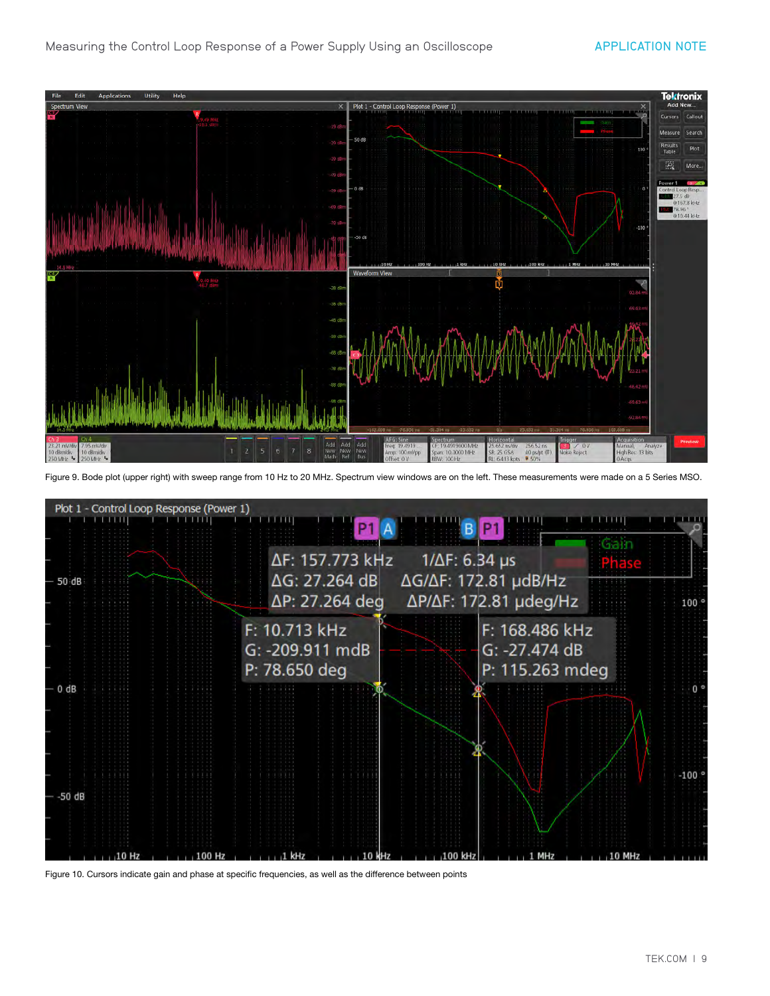

Figure 9. Bode plot (upper right) with sweep range from 10 Hz to 20 MHz. Spectrum view windows are on the left. These measurements were made on a 5 Series MSO.



Figure 10. Cursors indicate gain and phase at specific frequencies, as well as the difference between points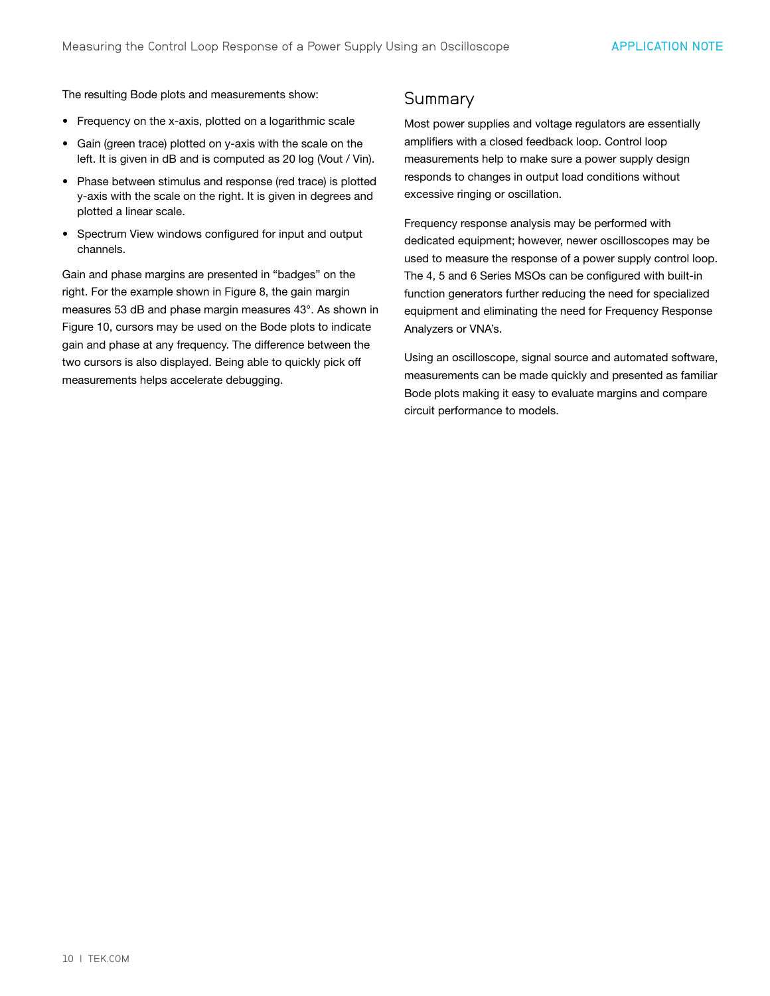The resulting Bode plots and measurements show:

- Frequency on the x-axis, plotted on a logarithmic scale
- Gain (green trace) plotted on y-axis with the scale on the left. It is given in dB and is computed as 20 log (Vout / Vin).
- Phase between stimulus and response (red trace) is plotted y-axis with the scale on the right. It is given in degrees and plotted a linear scale.
- Spectrum View windows configured for input and output channels.

Gain and phase margins are presented in "badges" on the right. For the example shown in Figure 8, the gain margin measures 53 dB and phase margin measures 43°. As shown in Figure 10, cursors may be used on the Bode plots to indicate gain and phase at any frequency. The difference between the two cursors is also displayed. Being able to quickly pick off measurements helps accelerate debugging.

### **Summary**

Most power supplies and voltage regulators are essentially amplifiers with a closed feedback loop. Control loop measurements help to make sure a power supply design responds to changes in output load conditions without excessive ringing or oscillation.

Frequency response analysis may be performed with dedicated equipment; however, newer oscilloscopes may be used to measure the response of a power supply control loop. The 4, 5 and 6 Series MSOs can be configured with built-in function generators further reducing the need for specialized equipment and eliminating the need for Frequency Response Analyzers or VNA's.

Using an oscilloscope, signal source and automated software, measurements can be made quickly and presented as familiar Bode plots making it easy to evaluate margins and compare circuit performance to models.